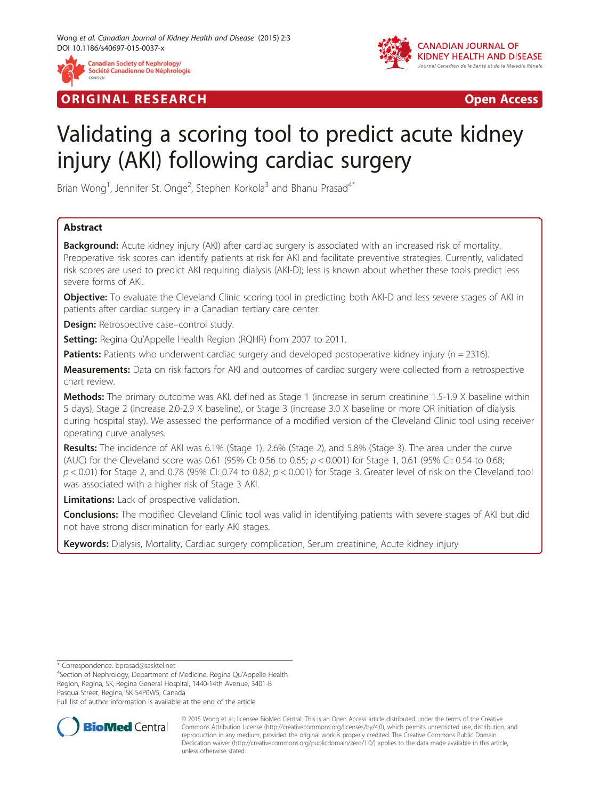

## **ORIGINAL RESEARCH CONSUMING A RESEARCH CONSUMING A RESEARCH**



# Validating a scoring tool to predict acute kidney injury (AKI) following cardiac surgery

Brian Wong<sup>1</sup>, Jennifer St. Onge<sup>2</sup>, Stephen Korkola<sup>3</sup> and Bhanu Prasad<sup>4\*</sup>

## Abstract

Background: Acute kidney injury (AKI) after cardiac surgery is associated with an increased risk of mortality. Preoperative risk scores can identify patients at risk for AKI and facilitate preventive strategies. Currently, validated risk scores are used to predict AKI requiring dialysis (AKI-D); less is known about whether these tools predict less severe forms of AKI.

**Objective:** To evaluate the Cleveland Clinic scoring tool in predicting both AKI-D and less severe stages of AKI in patients after cardiac surgery in a Canadian tertiary care center.

Design: Retrospective case–control study.

Setting: Regina Qu'Appelle Health Region (RQHR) from 2007 to 2011.

**Patients:** Patients who underwent cardiac surgery and developed postoperative kidney injury ( $n = 2316$ ).

Measurements: Data on risk factors for AKI and outcomes of cardiac surgery were collected from a retrospective chart review.

Methods: The primary outcome was AKI, defined as Stage 1 (increase in serum creatinine 1.5-1.9 X baseline within 5 days), Stage 2 (increase 2.0-2.9 X baseline), or Stage 3 (increase 3.0 X baseline or more OR initiation of dialysis during hospital stay). We assessed the performance of a modified version of the Cleveland Clinic tool using receiver operating curve analyses.

Results: The incidence of AKI was 6.1% (Stage 1), 2.6% (Stage 2), and 5.8% (Stage 3). The area under the curve (AUC) for the Cleveland score was 0.61 (95% CI: 0.56 to 0.65;  $p < 0.001$ ) for Stage 1, 0.61 (95% CI: 0.54 to 0.68;  $p < 0.01$ ) for Stage 2, and 0.78 (95% CI: 0.74 to 0.82;  $p < 0.001$ ) for Stage 3. Greater level of risk on the Cleveland tool was associated with a higher risk of Stage 3 AKI.

**Limitations:** Lack of prospective validation.

Conclusions: The modified Cleveland Clinic tool was valid in identifying patients with severe stages of AKI but did not have strong discrimination for early AKI stages.

Keywords: Dialysis, Mortality, Cardiac surgery complication, Serum creatinine, Acute kidney injury

\* Correspondence: [bprasad@sasktel.net](mailto:bprasad@sasktel.net) <sup>4</sup>

<sup>4</sup>Section of Nephrology, Department of Medicine, Regina Qu'Appelle Health Region, Regina, SK, Regina General Hospital, 1440-14th Avenue, 3401-B Pasqua Street, Regina, SK S4P0W5, Canada

Full list of author information is available at the end of the article



© 2015 Wong et al.; licensee BioMed Central. This is an Open Access article distributed under the terms of the Creative Commons Attribution License [\(http://creativecommons.org/licenses/by/4.0\)](http://creativecommons.org/licenses/by/4.0), which permits unrestricted use, distribution, and reproduction in any medium, provided the original work is properly credited. The Creative Commons Public Domain Dedication waiver [\(http://creativecommons.org/publicdomain/zero/1.0/](http://creativecommons.org/publicdomain/zero/1.0/)) applies to the data made available in this article, unless otherwise stated.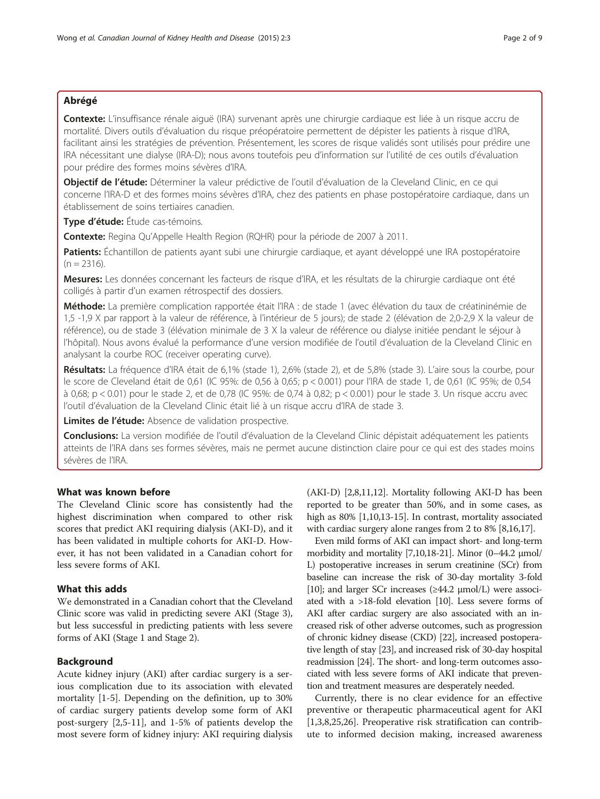## Abrégé

Contexte: L'insuffisance rénale aiguë (IRA) survenant après une chirurgie cardiaque est liée à un risque accru de mortalité. Divers outils d'évaluation du risque préopératoire permettent de dépister les patients à risque d'IRA, facilitant ainsi les stratégies de prévention. Présentement, les scores de risque validés sont utilisés pour prédire une IRA nécessitant une dialyse (IRA-D); nous avons toutefois peu d'information sur l'utilité de ces outils d'évaluation pour prédire des formes moins sévères d'IRA.

Objectif de l'étude: Déterminer la valeur prédictive de l'outil d'évaluation de la Cleveland Clinic, en ce qui concerne l'IRA-D et des formes moins sévères d'IRA, chez des patients en phase postopératoire cardiaque, dans un établissement de soins tertiaires canadien.

Type d'étude: Étude cas-témoins.

Contexte: Regina Qu'Appelle Health Region (RQHR) pour la période de 2007 à 2011.

Patients: Échantillon de patients ayant subi une chirurgie cardiaque, et ayant développé une IRA postopératoire  $(n = 2316)$ .

Mesures: Les données concernant les facteurs de risque d'IRA, et les résultats de la chirurgie cardiaque ont été colligés à partir d'un examen rétrospectif des dossiers.

Méthode: La première complication rapportée était l'IRA : de stade 1 (avec élévation du taux de créatininémie de 1,5 -1,9 X par rapport à la valeur de référence, à l'intérieur de 5 jours); de stade 2 (élévation de 2,0-2,9 X la valeur de référence), ou de stade 3 (élévation minimale de 3 X la valeur de référence ou dialyse initiée pendant le séjour à l'hôpital). Nous avons évalué la performance d'une version modifiée de l'outil d'évaluation de la Cleveland Clinic en analysant la courbe ROC (receiver operating curve).

Résultats: La fréquence d'IRA était de 6,1% (stade 1), 2,6% (stade 2), et de 5,8% (stade 3). L'aire sous la courbe, pour le score de Cleveland était de 0,61 (IC 95%: de 0,56 à 0,65; p < 0.001) pour l'IRA de stade 1, de 0,61 (IC 95%; de 0,54 à 0,68; p < 0.01) pour le stade 2, et de 0,78 (IC 95%: de 0,74 à 0,82; p < 0.001) pour le stade 3. Un risque accru avec l'outil d'évaluation de la Cleveland Clinic était lié à un risque accru d'IRA de stade 3.

Limites de l'étude: Absence de validation prospective.

Conclusions: La version modifiée de l'outil d'évaluation de la Cleveland Clinic dépistait adéquatement les patients atteints de l'IRA dans ses formes sévères, mais ne permet aucune distinction claire pour ce qui est des stades moins sévères de l'IRA.

## What was known before

The Cleveland Clinic score has consistently had the highest discrimination when compared to other risk scores that predict AKI requiring dialysis (AKI-D), and it has been validated in multiple cohorts for AKI-D. However, it has not been validated in a Canadian cohort for less severe forms of AKI.

## What this adds

We demonstrated in a Canadian cohort that the Cleveland Clinic score was valid in predicting severe AKI (Stage 3), but less successful in predicting patients with less severe forms of AKI (Stage 1 and Stage 2).

## Background

Acute kidney injury (AKI) after cardiac surgery is a serious complication due to its association with elevated mortality [[1-5](#page-7-0)]. Depending on the definition, up to 30% of cardiac surgery patients develop some form of AKI post-surgery [[2,5-11](#page-7-0)], and 1-5% of patients develop the most severe form of kidney injury: AKI requiring dialysis

(AKI-D) [\[2,8,11,12](#page-7-0)]. Mortality following AKI-D has been reported to be greater than 50%, and in some cases, as high as 80% [\[1,10,13-15\]](#page-7-0). In contrast, mortality associated with cardiac surgery alone ranges from 2 to 8% [\[8,16,17](#page-7-0)].

Even mild forms of AKI can impact short- and long-term morbidity and mortality [\[7,10,18-21\]](#page-7-0). Minor (0–44.2 μmol/ L) postoperative increases in serum creatinine (SCr) from baseline can increase the risk of 30-day mortality 3-fold [[10](#page-7-0)]; and larger SCr increases (≥44.2 μmol/L) were associated with a >18-fold elevation [\[10\]](#page-7-0). Less severe forms of AKI after cardiac surgery are also associated with an increased risk of other adverse outcomes, such as progression of chronic kidney disease (CKD) [\[22\]](#page-7-0), increased postoperative length of stay [\[23](#page-7-0)], and increased risk of 30-day hospital readmission [\[24\]](#page-7-0). The short- and long-term outcomes associated with less severe forms of AKI indicate that prevention and treatment measures are desperately needed.

Currently, there is no clear evidence for an effective preventive or therapeutic pharmaceutical agent for AKI [[1,3,8,25,26\]](#page-7-0). Preoperative risk stratification can contribute to informed decision making, increased awareness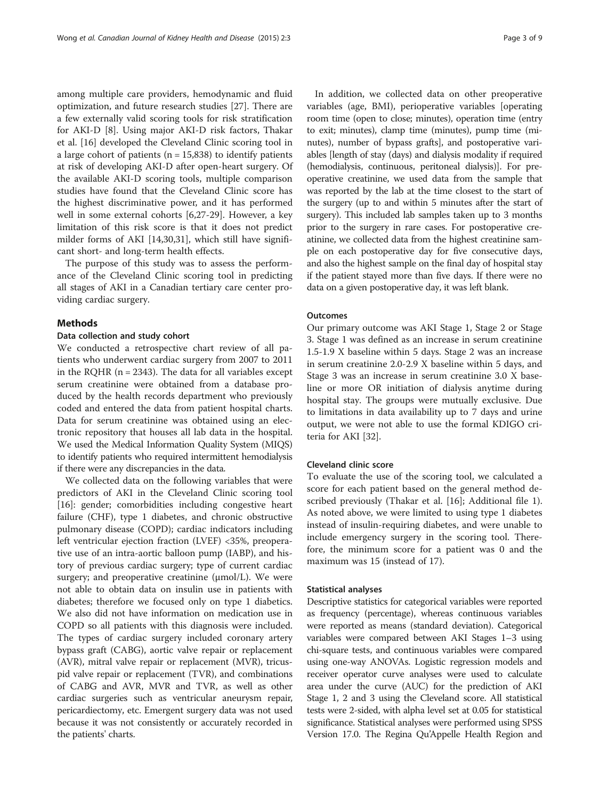among multiple care providers, hemodynamic and fluid optimization, and future research studies [\[27\]](#page-7-0). There are a few externally valid scoring tools for risk stratification for AKI-D [\[8](#page-7-0)]. Using major AKI-D risk factors, Thakar et al. [[16\]](#page-7-0) developed the Cleveland Clinic scoring tool in a large cohort of patients ( $n = 15,838$ ) to identify patients at risk of developing AKI-D after open-heart surgery. Of the available AKI-D scoring tools, multiple comparison studies have found that the Cleveland Clinic score has the highest discriminative power, and it has performed well in some external cohorts [[6,27-29\]](#page-7-0). However, a key limitation of this risk score is that it does not predict milder forms of AKI [\[14,30](#page-7-0)[,31](#page-8-0)], which still have significant short- and long-term health effects.

The purpose of this study was to assess the performance of the Cleveland Clinic scoring tool in predicting all stages of AKI in a Canadian tertiary care center providing cardiac surgery.

#### Methods

#### Data collection and study cohort

We conducted a retrospective chart review of all patients who underwent cardiac surgery from 2007 to 2011 in the RQHR ( $n = 2343$ ). The data for all variables except serum creatinine were obtained from a database produced by the health records department who previously coded and entered the data from patient hospital charts. Data for serum creatinine was obtained using an electronic repository that houses all lab data in the hospital. We used the Medical Information Quality System (MIQS) to identify patients who required intermittent hemodialysis if there were any discrepancies in the data.

We collected data on the following variables that were predictors of AKI in the Cleveland Clinic scoring tool [[16\]](#page-7-0): gender; comorbidities including congestive heart failure (CHF), type 1 diabetes, and chronic obstructive pulmonary disease (COPD); cardiac indicators including left ventricular ejection fraction (LVEF) <35%, preoperative use of an intra-aortic balloon pump (IABP), and history of previous cardiac surgery; type of current cardiac surgery; and preoperative creatinine  $(\mu mol/L)$ . We were not able to obtain data on insulin use in patients with diabetes; therefore we focused only on type 1 diabetics. We also did not have information on medication use in COPD so all patients with this diagnosis were included. The types of cardiac surgery included coronary artery bypass graft (CABG), aortic valve repair or replacement (AVR), mitral valve repair or replacement (MVR), tricuspid valve repair or replacement (TVR), and combinations of CABG and AVR, MVR and TVR, as well as other cardiac surgeries such as ventricular aneurysm repair, pericardiectomy, etc. Emergent surgery data was not used because it was not consistently or accurately recorded in the patients' charts.

In addition, we collected data on other preoperative variables (age, BMI), perioperative variables [operating room time (open to close; minutes), operation time (entry to exit; minutes), clamp time (minutes), pump time (minutes), number of bypass grafts], and postoperative variables [length of stay (days) and dialysis modality if required (hemodialysis, continuous, peritoneal dialysis)]. For preoperative creatinine, we used data from the sample that was reported by the lab at the time closest to the start of the surgery (up to and within 5 minutes after the start of surgery). This included lab samples taken up to 3 months prior to the surgery in rare cases. For postoperative creatinine, we collected data from the highest creatinine sample on each postoperative day for five consecutive days, and also the highest sample on the final day of hospital stay if the patient stayed more than five days. If there were no data on a given postoperative day, it was left blank.

#### **Outcomes**

Our primary outcome was AKI Stage 1, Stage 2 or Stage 3. Stage 1 was defined as an increase in serum creatinine 1.5-1.9 X baseline within 5 days. Stage 2 was an increase in serum creatinine 2.0-2.9 X baseline within 5 days, and Stage 3 was an increase in serum creatinine 3.0 X baseline or more OR initiation of dialysis anytime during hospital stay. The groups were mutually exclusive. Due to limitations in data availability up to 7 days and urine output, we were not able to use the formal KDIGO criteria for AKI [\[32](#page-8-0)].

### Cleveland clinic score

To evaluate the use of the scoring tool, we calculated a score for each patient based on the general method described previously (Thakar et al. [\[16](#page-7-0)]; Additional file [1](#page-7-0)). As noted above, we were limited to using type 1 diabetes instead of insulin-requiring diabetes, and were unable to include emergency surgery in the scoring tool. Therefore, the minimum score for a patient was 0 and the maximum was 15 (instead of 17).

#### Statistical analyses

Descriptive statistics for categorical variables were reported as frequency (percentage), whereas continuous variables were reported as means (standard deviation). Categorical variables were compared between AKI Stages 1–3 using chi-square tests, and continuous variables were compared using one-way ANOVAs. Logistic regression models and receiver operator curve analyses were used to calculate area under the curve (AUC) for the prediction of AKI Stage 1, 2 and 3 using the Cleveland score. All statistical tests were 2-sided, with alpha level set at 0.05 for statistical significance. Statistical analyses were performed using SPSS Version 17.0. The Regina Qu'Appelle Health Region and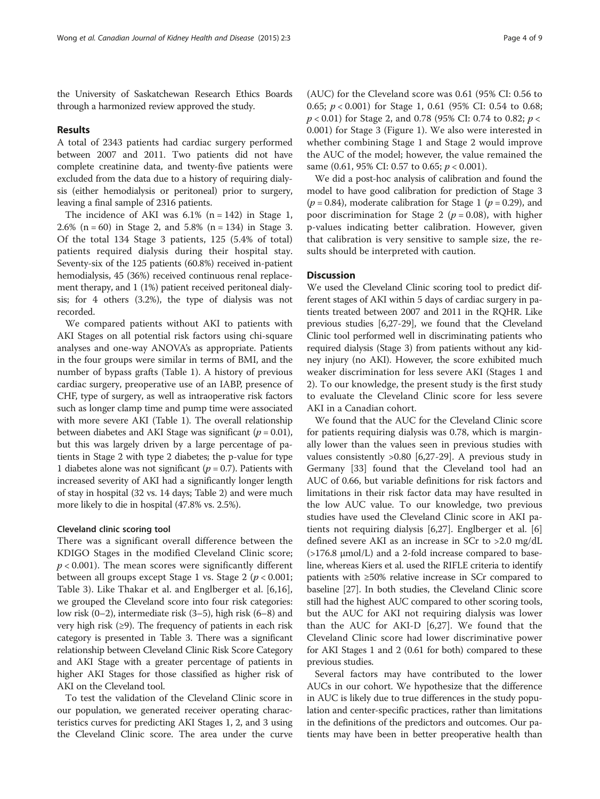the University of Saskatchewan Research Ethics Boards through a harmonized review approved the study.

## Results

A total of 2343 patients had cardiac surgery performed between 2007 and 2011. Two patients did not have complete creatinine data, and twenty-five patients were excluded from the data due to a history of requiring dialysis (either hemodialysis or peritoneal) prior to surgery, leaving a final sample of 2316 patients.

The incidence of AKI was  $6.1\%$  (n = 142) in Stage 1, 2.6% (n = 60) in Stage 2, and 5.8% (n = 134) in Stage 3. Of the total 134 Stage 3 patients, 125 (5.4% of total) patients required dialysis during their hospital stay. Seventy-six of the 125 patients (60.8%) received in-patient hemodialysis, 45 (36%) received continuous renal replacement therapy, and 1 (1%) patient received peritoneal dialysis; for 4 others (3.2%), the type of dialysis was not recorded.

We compared patients without AKI to patients with AKI Stages on all potential risk factors using chi-square analyses and one-way ANOVA's as appropriate. Patients in the four groups were similar in terms of BMI, and the number of bypass grafts (Table [1\)](#page-4-0). A history of previous cardiac surgery, preoperative use of an IABP, presence of CHF, type of surgery, as well as intraoperative risk factors such as longer clamp time and pump time were associated with more severe AKI (Table [1\)](#page-4-0). The overall relationship between diabetes and AKI Stage was significant ( $p = 0.01$ ), but this was largely driven by a large percentage of patients in Stage 2 with type 2 diabetes; the p-value for type 1 diabetes alone was not significant ( $p = 0.7$ ). Patients with increased severity of AKI had a significantly longer length of stay in hospital (32 vs. 14 days; Table [2](#page-5-0)) and were much more likely to die in hospital (47.8% vs. 2.5%).

#### Cleveland clinic scoring tool

There was a significant overall difference between the KDIGO Stages in the modified Cleveland Clinic score;  $p < 0.001$ ). The mean scores were significantly different between all groups except Stage 1 vs. Stage 2 ( $p < 0.001$ ; Table [3\)](#page-5-0). Like Thakar et al. and Englberger et al. [[6,16](#page-7-0)], we grouped the Cleveland score into four risk categories: low risk (0–2), intermediate risk (3–5), high risk (6–8) and very high risk  $(≥9)$ . The frequency of patients in each risk category is presented in Table [3](#page-5-0). There was a significant relationship between Cleveland Clinic Risk Score Category and AKI Stage with a greater percentage of patients in higher AKI Stages for those classified as higher risk of AKI on the Cleveland tool.

To test the validation of the Cleveland Clinic score in our population, we generated receiver operating characteristics curves for predicting AKI Stages 1, 2, and 3 using the Cleveland Clinic score. The area under the curve (AUC) for the Cleveland score was 0.61 (95% CI: 0.56 to 0.65;  $p < 0.001$ ) for Stage 1, 0.61 (95% CI: 0.54 to 0.68;  $p < 0.01$ ) for Stage 2, and 0.78 (95% CI: 0.74 to 0.82;  $p <$ 0.001) for Stage 3 (Figure [1\)](#page-6-0). We also were interested in whether combining Stage 1 and Stage 2 would improve the AUC of the model; however, the value remained the same  $(0.61, 95\% \text{ CI: } 0.57 \text{ to } 0.65; p < 0.001).$ 

We did a post-hoc analysis of calibration and found the model to have good calibration for prediction of Stage 3 ( $p = 0.84$ ), moderate calibration for Stage 1 ( $p = 0.29$ ), and poor discrimination for Stage 2 ( $p = 0.08$ ), with higher p-values indicating better calibration. However, given that calibration is very sensitive to sample size, the results should be interpreted with caution.

#### **Discussion**

We used the Cleveland Clinic scoring tool to predict different stages of AKI within 5 days of cardiac surgery in patients treated between 2007 and 2011 in the RQHR. Like previous studies [[6,27](#page-7-0)-[29](#page-7-0)], we found that the Cleveland Clinic tool performed well in discriminating patients who required dialysis (Stage 3) from patients without any kidney injury (no AKI). However, the score exhibited much weaker discrimination for less severe AKI (Stages 1 and 2). To our knowledge, the present study is the first study to evaluate the Cleveland Clinic score for less severe AKI in a Canadian cohort.

We found that the AUC for the Cleveland Clinic score for patients requiring dialysis was 0.78, which is marginally lower than the values seen in previous studies with values consistently >0.80 [\[6,27](#page-7-0)-[29\]](#page-7-0). A previous study in Germany [\[33](#page-8-0)] found that the Cleveland tool had an AUC of 0.66, but variable definitions for risk factors and limitations in their risk factor data may have resulted in the low AUC value. To our knowledge, two previous studies have used the Cleveland Clinic score in AKI patients not requiring dialysis [[6,27\]](#page-7-0). Englberger et al. [\[6](#page-7-0)] defined severe AKI as an increase in SCr to >2.0 mg/dL  $(>176.8 \mu \text{mol/L})$  and a 2-fold increase compared to baseline, whereas Kiers et al. used the RIFLE criteria to identify patients with ≥50% relative increase in SCr compared to baseline [[27](#page-7-0)]. In both studies, the Cleveland Clinic score still had the highest AUC compared to other scoring tools, but the AUC for AKI not requiring dialysis was lower than the AUC for AKI-D [[6,27\]](#page-7-0). We found that the Cleveland Clinic score had lower discriminative power for AKI Stages 1 and 2 (0.61 for both) compared to these previous studies.

Several factors may have contributed to the lower AUCs in our cohort. We hypothesize that the difference in AUC is likely due to true differences in the study population and center-specific practices, rather than limitations in the definitions of the predictors and outcomes. Our patients may have been in better preoperative health than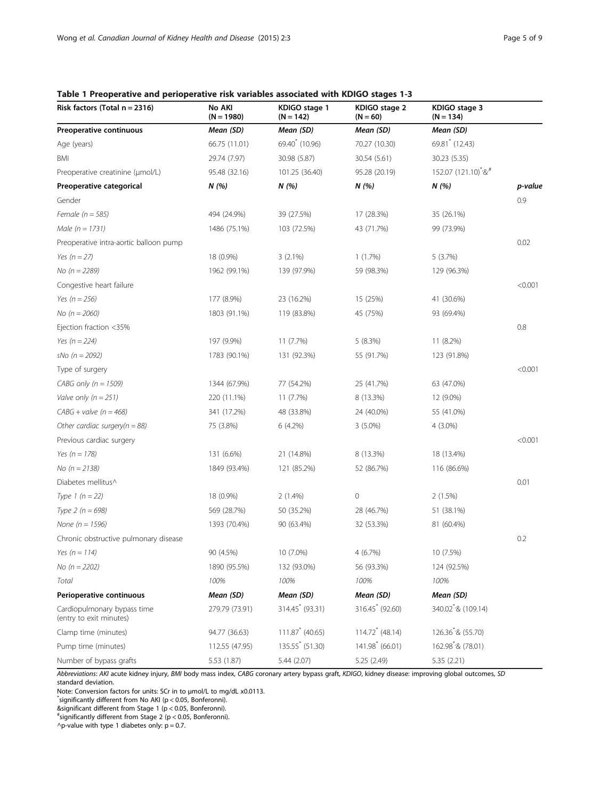<span id="page-4-0"></span>

| Risk factors (Total $n = 2316$ )                       | No AKI<br>$(N = 1980)$ | KDIGO stage 1<br>$(N = 142)$  | KDIGO stage 2<br>$(N = 60)$   | KDIGO stage 3<br>$(N = 134)$                    |         |
|--------------------------------------------------------|------------------------|-------------------------------|-------------------------------|-------------------------------------------------|---------|
| Preoperative continuous                                | Mean (SD)              | Mean (SD)                     | Mean (SD)                     | Mean (SD)                                       |         |
| Age (years)                                            | 66.75 (11.01)          | 69.40 <sup>*</sup> (10.96)    | 70.27 (10.30)                 | 69.81 (12.43)                                   |         |
| BMI                                                    | 29.74 (7.97)           | 30.98 (5.87)                  | 30.54 (5.61)                  | 30.23 (5.35)                                    |         |
| Preoperative creatinine (µmol/L)                       | 95.48 (32.16)          | 101.25 (36.40)                | 95.28 (20.19)                 | 152.07 (121.10) <sup>*</sup> / $&$ <sup>#</sup> |         |
| Preoperative categorical                               | N (%)                  | N (%)                         | N(%)                          | N(%)                                            | p-value |
| Gender                                                 |                        |                               |                               |                                                 | 0.9     |
| Female ( $n = 585$ )                                   | 494 (24.9%)            | 39 (27.5%)                    | 17 (28.3%)                    | 35 (26.1%)                                      |         |
| Male $(n = 1731)$                                      | 1486 (75.1%)           | 103 (72.5%)                   | 43 (71.7%)                    | 99 (73.9%)                                      |         |
| Preoperative intra-aortic balloon pump                 |                        |                               |                               |                                                 | 0.02    |
| Yes $(n = 27)$                                         | 18 (0.9%)              | $3(2.1\%)$                    | 1(1.7%)                       | 5(3.7%)                                         |         |
| No ( $n = 2289$ )                                      | 1962 (99.1%)           | 139 (97.9%)                   | 59 (98.3%)                    | 129 (96.3%)                                     |         |
| Congestive heart failure                               |                        |                               |                               |                                                 | < 0.001 |
| Yes ( $n = 256$ )                                      | 177 (8.9%)             | 23 (16.2%)                    | 15 (25%)                      | 41 (30.6%)                                      |         |
| No $(n = 2060)$                                        | 1803 (91.1%)           | 119 (83.8%)                   | 45 (75%)                      | 93 (69.4%)                                      |         |
| Ejection fraction <35%                                 |                        |                               |                               |                                                 | 0.8     |
| Yes $(n = 224)$                                        | 197 (9.9%)             | 11 (7.7%)                     | 5 (8.3%)                      | 11 (8.2%)                                       |         |
| sNo ( $n = 2092$ )                                     | 1783 (90.1%)           | 131 (92.3%)                   | 55 (91.7%)                    | 123 (91.8%)                                     |         |
| Type of surgery                                        |                        |                               |                               |                                                 | < 0.001 |
| CABG only ( $n = 1509$ )                               | 1344 (67.9%)           | 77 (54.2%)                    | 25 (41.7%)                    | 63 (47.0%)                                      |         |
| Valve only $(n = 251)$                                 | 220 (11.1%)            | 11 (7.7%)                     | 8 (13.3%)                     | 12 (9.0%)                                       |         |
| $CABG + value (n = 468)$                               | 341 (17.2%)            | 48 (33.8%)                    | 24 (40.0%)                    | 55 (41.0%)                                      |         |
| Other cardiac surgery( $n = 88$ )                      | 75 (3.8%)              | 6 (4.2%)                      | $3(5.0\%)$                    | $4(3.0\%)$                                      |         |
| Previous cardiac surgery                               |                        |                               |                               |                                                 | < 0.001 |
| Yes ( $n = 178$ )                                      | 131 (6.6%)             | 21 (14.8%)                    | 8 (13.3%)                     | 18 (13.4%)                                      |         |
| No ( $n = 2138$ )                                      | 1849 (93.4%)           | 121 (85.2%)                   | 52 (86.7%)                    | 116 (86.6%)                                     |         |
| Diabetes mellitus^                                     |                        |                               |                               |                                                 | 0.01    |
| Type 1 $(n = 22)$                                      | 18 (0.9%)              | $2(1.4\%)$                    | $\mathbb O$                   | 2(1.5%)                                         |         |
| Type $2 (n = 698)$                                     | 569 (28.7%)            | 50 (35.2%)                    | 28 (46.7%)                    | 51 (38.1%)                                      |         |
| None ( $n = 1596$ )                                    | 1393 (70.4%)           | 90 (63.4%)                    | 32 (53.3%)                    | 81 (60.4%)                                      |         |
| Chronic obstructive pulmonary disease                  |                        |                               |                               |                                                 | 0.2     |
| Yes (n = 114)                                          | 90 (4.5%)              | 10 (7.0%)                     | 4(6.7%)                       | 10 (7.5%)                                       |         |
| No $(n = 2202)$                                        | 1890 (95.5%)           | 132 (93.0%)                   | 56 (93.3%)                    | 124 (92.5%)                                     |         |
| Total                                                  | 100%                   | 100%                          | 100%                          | 100%                                            |         |
| Perioperative continuous                               | Mean (SD)              | Mean (SD)                     | Mean (SD)                     | Mean (SD)                                       |         |
| Cardiopulmonary bypass time<br>(entry to exit minutes) | 279.79 (73.91)         | 314.45* (93.31)               | 316.45* (92.60)               | 340.02 <sup>*</sup> /& (109.14)                 |         |
| Clamp time (minutes)                                   | 94.77 (36.63)          | $111.87$ <sup>*</sup> (40.65) | $114.72$ <sup>*</sup> (48.14) | 126.36 <sup>*</sup> /& (55.70)                  |         |
| Pump time (minutes)                                    | 112.55 (47.95)         | 135.55 (51.30)                | $141.98$ (66.01)              | 162.98 * & (78.01)                              |         |
| Number of bypass grafts                                | 5.53 (1.87)            | 5.44(2.07)                    | 5.25 (2.49)                   | 5.35 (2.21)                                     |         |

Abbreviations: AKI acute kidney injury, BMI body mass index, CABG coronary artery bypass graft, KDIGO, kidney disease: improving global outcomes, SD standard deviation.

Note: Conversion factors for units: SCr in to <sup>μ</sup>mol/L to mg/dL x0.0113. \*

 $*$ significantly different from No AKI (p < 0.05, Bonferonni).

&significant different from Stage 1 (p < 0.05, Bonferonni).

# significantly different from Stage 2 (p < 0.05, Bonferonni).

 $\Delta p$ -value with type 1 diabetes only:  $p = 0.7$ .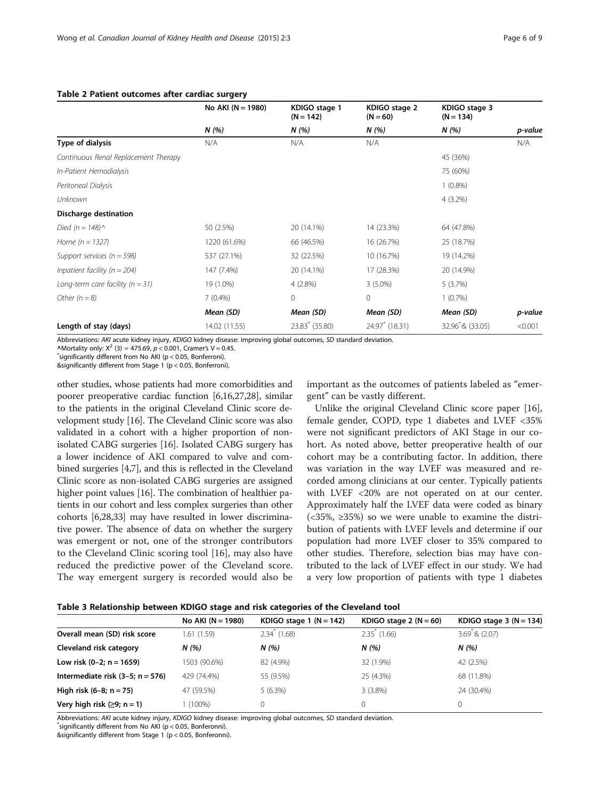#### <span id="page-5-0"></span>Table 2 Patient outcomes after cardiac surgery

|                                      | No AKI ( $N = 1980$ ) | KDIGO stage 1<br>$(N = 142)$ | KDIGO stage 2<br>$(N = 60)$ | KDIGO stage 3<br>$(N = 134)$  |         |
|--------------------------------------|-----------------------|------------------------------|-----------------------------|-------------------------------|---------|
|                                      | N(%)                  | N(%)                         | N (%)                       | N(%)                          | p-value |
| Type of dialysis                     | N/A                   | N/A                          | N/A                         |                               | N/A     |
| Continuous Renal Replacement Therapy |                       |                              |                             | 45 (36%)                      |         |
| In-Patient Hemodialysis              |                       |                              |                             | 75 (60%)                      |         |
| Peritoneal Dialysis                  |                       |                              |                             | $1(0.8\%)$                    |         |
| Unknown                              |                       |                              |                             | $4(3.2\%)$                    |         |
| Discharge destination                |                       |                              |                             |                               |         |
| Died ( $n = 148$ ) $\land$           | 50 (2.5%)             | 20 (14.1%)                   | 14 (23.3%)                  | 64 (47.8%)                    |         |
| Home $(n = 1327)$                    | 1220 (61.6%)          | 66 (46.5%)                   | 16 (26.7%)                  | 25 (18.7%)                    |         |
| Support services ( $n = 598$ )       | 537 (27.1%)           | 32 (22.5%)                   | 10 (16.7%)                  | 19 (14.2%)                    |         |
| Inpatient facility ( $n = 204$ )     | 147 (7.4%)            | 20 (14.1%)                   | 17 (28.3%)                  | 20 (14.9%)                    |         |
| Long-term care facility ( $n = 31$ ) | 19 (1.0%)             | $4(2.8\%)$                   | $3(5.0\%)$                  | 5(3.7%)                       |         |
| Other $(n = 8)$                      | $7(0.4\%)$            | $\mathbf{0}$                 | $\mathbf{0}$                | 1(0.7%)                       |         |
|                                      | Mean (SD)             | Mean (SD)                    | Mean (SD)                   | Mean (SD)                     | p-value |
| Length of stay (days)                | 14.02 (11.55)         | $23.83^{\circ}$ (35.80)      | 24.97 (18.31)               | 32.96 <sup>*</sup> /& (33.05) | < 0.001 |

Abbreviations: AKI acute kidney injury, KDIGO kidney disease: improving global outcomes, SD standard deviation.

^Mortality only:  $X^2$  (3) = 475.69, p < 0.001, Cramer's V = 0.45.

 $\checkmark$ significantly different from No AKI (p < 0.05, Bonferroni).

&significantly different from Stage 1 (p < 0.05, Bonferroni).

other studies, whose patients had more comorbidities and poorer preoperative cardiac function [\[6,16,27](#page-7-0),[28](#page-7-0)], similar to the patients in the original Cleveland Clinic score development study [\[16\]](#page-7-0). The Cleveland Clinic score was also validated in a cohort with a higher proportion of nonisolated CABG surgeries [\[16\]](#page-7-0). Isolated CABG surgery has a lower incidence of AKI compared to valve and combined surgeries [\[4,7](#page-7-0)], and this is reflected in the Cleveland Clinic score as non-isolated CABG surgeries are assigned higher point values [\[16\]](#page-7-0). The combination of healthier patients in our cohort and less complex surgeries than other cohorts [[6,28](#page-7-0)[,33\]](#page-8-0) may have resulted in lower discriminative power. The absence of data on whether the surgery was emergent or not, one of the stronger contributors to the Cleveland Clinic scoring tool [[16](#page-7-0)], may also have reduced the predictive power of the Cleveland score. The way emergent surgery is recorded would also be important as the outcomes of patients labeled as "emergent" can be vastly different.

Unlike the original Cleveland Clinic score paper [\[16](#page-7-0)], female gender, COPD, type 1 diabetes and LVEF <35% were not significant predictors of AKI Stage in our cohort. As noted above, better preoperative health of our cohort may be a contributing factor. In addition, there was variation in the way LVEF was measured and recorded among clinicians at our center. Typically patients with LVEF <20% are not operated on at our center. Approximately half the LVEF data were coded as binary  $(**35%**, **235%**)$  so we were unable to examine the distribution of patients with LVEF levels and determine if our population had more LVEF closer to 35% compared to other studies. Therefore, selection bias may have contributed to the lack of LVEF effect in our study. We had a very low proportion of patients with type 1 diabetes

| Table 3 Relationship between KDIGO stage and risk categories of the Cleveland tool |  |  |  |
|------------------------------------------------------------------------------------|--|--|--|
|------------------------------------------------------------------------------------|--|--|--|

|                                    | No AKI $(N = 1980)$ | KDIGO stage $1 (N = 142)$ | KDIGO stage $2 (N = 60)$ | KDIGO stage $3(N = 134)$  |
|------------------------------------|---------------------|---------------------------|--------------------------|---------------------------|
| Overall mean (SD) risk score       | 1.61 (1.59)         | $2.34^*$ (1.68)           | $2.35^{\circ}$ (1.66)    | $3.69^{\degree}$ & (2.07) |
| Cleveland risk category            | N(%)                | N(%)                      | N(96)                    | N(%)                      |
| Low risk $(0-2; n = 1659)$         | 1503 (90.6%)        | 82 (4.9%)                 | 32 (1.9%)                | 42 (2.5%)                 |
| Intermediate risk $(3-5; n = 576)$ | 429 (74.4%)         | 55 (9.5%)                 | 25 (4.3%)                | 68 (11.8%)                |
| High risk $(6-8; n = 75)$          | 47 (59.5%)          | $5(6.3\%)$                | $3(3.8\%)$               | 24 (30.4%)                |
| Very high risk $(≥9; n = 1)$       | $(100\%)$           |                           |                          |                           |

Abbreviations: AKI acute kidney injury, KDIGO kidney disease: improving global outcomes, SD standard deviation.

 $\check{ }$ significantly different from No AKI (p < 0.05, Bonferonni).

&significantly different from Stage 1 (p < 0.05, Bonferonni).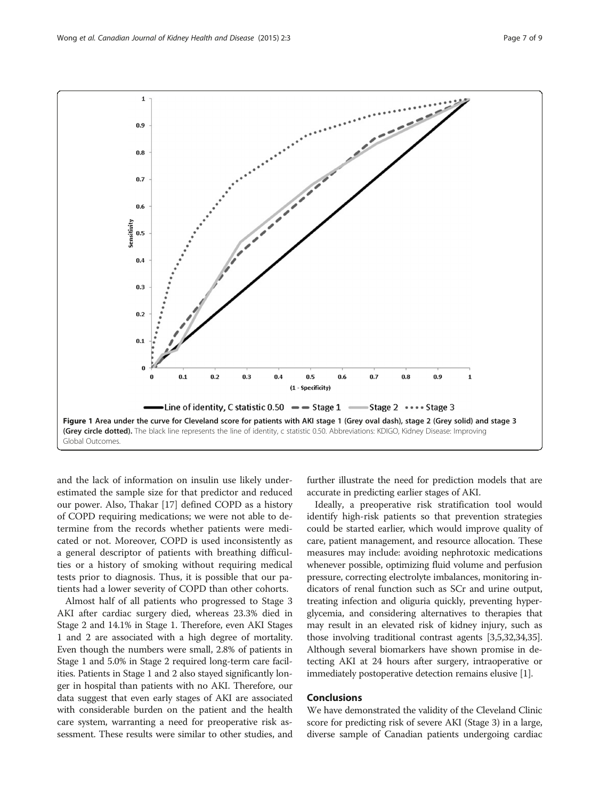and the lack of information on insulin use likely underestimated the sample size for that predictor and reduced our power. Also, Thakar [[17](#page-7-0)] defined COPD as a history of COPD requiring medications; we were not able to determine from the records whether patients were medicated or not. Moreover, COPD is used inconsistently as a general descriptor of patients with breathing difficulties or a history of smoking without requiring medical tests prior to diagnosis. Thus, it is possible that our patients had a lower severity of COPD than other cohorts.

Almost half of all patients who progressed to Stage 3 AKI after cardiac surgery died, whereas 23.3% died in Stage 2 and 14.1% in Stage 1. Therefore, even AKI Stages 1 and 2 are associated with a high degree of mortality. Even though the numbers were small, 2.8% of patients in Stage 1 and 5.0% in Stage 2 required long-term care facilities. Patients in Stage 1 and 2 also stayed significantly longer in hospital than patients with no AKI. Therefore, our data suggest that even early stages of AKI are associated with considerable burden on the patient and the health care system, warranting a need for preoperative risk assessment. These results were similar to other studies, and

further illustrate the need for prediction models that are accurate in predicting earlier stages of AKI.

Ideally, a preoperative risk stratification tool would identify high-risk patients so that prevention strategies could be started earlier, which would improve quality of care, patient management, and resource allocation. These measures may include: avoiding nephrotoxic medications whenever possible, optimizing fluid volume and perfusion pressure, correcting electrolyte imbalances, monitoring indicators of renal function such as SCr and urine output, treating infection and oliguria quickly, preventing hyperglycemia, and considering alternatives to therapies that may result in an elevated risk of kidney injury, such as those involving traditional contrast agents [[3,5](#page-7-0)[,32,34,35](#page-8-0)]. Although several biomarkers have shown promise in detecting AKI at 24 hours after surgery, intraoperative or immediately postoperative detection remains elusive [\[1](#page-7-0)].

## **Conclusions**

We have demonstrated the validity of the Cleveland Clinic score for predicting risk of severe AKI (Stage 3) in a large, diverse sample of Canadian patients undergoing cardiac

<span id="page-6-0"></span>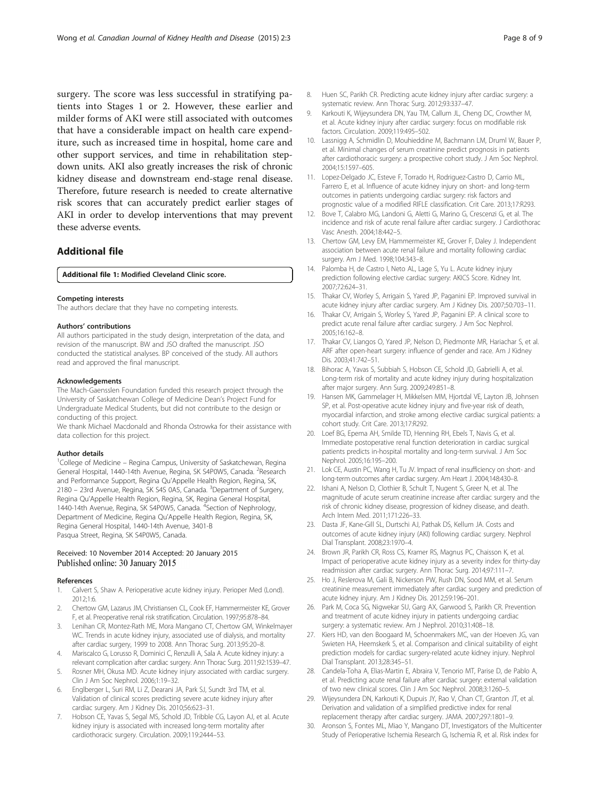<span id="page-7-0"></span>surgery. The score was less successful in stratifying patients into Stages 1 or 2. However, these earlier and milder forms of AKI were still associated with outcomes that have a considerable impact on health care expenditure, such as increased time in hospital, home care and other support services, and time in rehabilitation stepdown units. AKI also greatly increases the risk of chronic kidney disease and downstream end-stage renal disease. Therefore, future research is needed to create alternative risk scores that can accurately predict earlier stages of AKI in order to develop interventions that may prevent these adverse events.

## Additional file

#### [Additional file 1:](http://www.cjkhd.org/content/supplementary/s40697-015-0037-x-s1.docx) Modified Cleveland Clinic score.

#### Competing interests

The authors declare that they have no competing interests.

#### Authors' contributions

All authors participated in the study design, interpretation of the data, and revision of the manuscript. BW and JSO drafted the manuscript. JSO conducted the statistical analyses. BP conceived of the study. All authors read and approved the final manuscript.

#### Acknowledgements

The Mach-Gaensslen Foundation funded this research project through the University of Saskatchewan College of Medicine Dean's Project Fund for Undergraduate Medical Students, but did not contribute to the design or conducting of this project.

We thank Michael Macdonald and Rhonda Ostrowka for their assistance with data collection for this project.

#### Author details

<sup>1</sup>College of Medicine - Regina Campus, University of Saskatchewan, Regina General Hospital, 1440-14th Avenue, Regina, SK S4P0W5, Canada. <sup>2</sup>Research and Performance Support, Regina Qu'Appelle Health Region, Regina, SK, 2180 - 23rd Avenue, Regina, SK S4S 0A5, Canada. <sup>3</sup>Department of Surgery, Regina Qu'Appelle Health Region, Regina, SK, Regina General Hospital, 1440-14th Avenue, Regina, SK S4P0W5, Canada. <sup>4</sup>Section of Nephrology, Department of Medicine, Regina Qu'Appelle Health Region, Regina, SK, Regina General Hospital, 1440-14th Avenue, 3401-B Pasqua Street, Regina, SK S4P0W5, Canada.

#### Received: 10 November 2014 Accepted: 20 January 2015 Published online: 30 January 2015

#### References

- Calvert S, Shaw A. Perioperative acute kidney injury. Perioper Med (Lond). 2012;1:6.
- 2. Chertow GM, Lazarus JM, Christiansen CL, Cook EF, Hammermeister KE, Grover F, et al. Preoperative renal risk stratification. Circulation. 1997;95:878–84.
- 3. Lenihan CR, Montez-Rath ME, Mora Mangano CT, Chertow GM, Winkelmayer WC. Trends in acute kidney injury, associated use of dialysis, and mortality after cardiac surgery, 1999 to 2008. Ann Thorac Surg. 2013;95:20–8.
- 4. Mariscalco G, Lorusso R, Dominici C, Renzulli A, Sala A. Acute kidney injury: a relevant complication after cardiac surgery. Ann Thorac Surg. 2011;92:1539–47.
- 5. Rosner MH, Okusa MD. Acute kidney injury associated with cardiac surgery. Clin J Am Soc Nephrol. 2006;1:19–32.
- 6. Englberger L, Suri RM, Li Z, Dearani JA, Park SJ, Sundt 3rd TM, et al. Validation of clinical scores predicting severe acute kidney injury after cardiac surgery. Am J Kidney Dis. 2010;56:623–31.
- 7. Hobson CE, Yavas S, Segal MS, Schold JD, Tribble CG, Layon AJ, et al. Acute kidney injury is associated with increased long-term mortality after cardiothoracic surgery. Circulation. 2009;119:2444–53.
- 8. Huen SC, Parikh CR. Predicting acute kidney injury after cardiac surgery: a systematic review. Ann Thorac Surg. 2012;93:337–47.
- 9. Karkouti K, Wijeysundera DN, Yau TM, Callum JL, Cheng DC, Crowther M, et al. Acute kidney injury after cardiac surgery: focus on modifiable risk factors. Circulation. 2009;119:495–502.
- 10. Lassnigg A, Schmidlin D, Mouhieddine M, Bachmann LM, Druml W, Bauer P, et al. Minimal changes of serum creatinine predict prognosis in patients after cardiothoracic surgery: a prospective cohort study. J Am Soc Nephrol. 2004;15:1597–605.
- 11. Lopez-Delgado JC, Esteve F, Torrado H, Rodriguez-Castro D, Carrio ML, Farrero E, et al. Influence of acute kidney injury on short- and long-term outcomes in patients undergoing cardiac surgery: risk factors and prognostic value of a modified RIFLE classification. Crit Care. 2013;17:R293.
- 12. Bove T, Calabro MG, Landoni G, Aletti G, Marino G, Crescenzi G, et al. The incidence and risk of acute renal failure after cardiac surgery. J Cardiothorac Vasc Anesth. 2004;18:442–5.
- 13. Chertow GM, Levy EM, Hammermeister KE, Grover F, Daley J. Independent association between acute renal failure and mortality following cardiac surgery. Am J Med. 1998;104:343–8.
- 14. Palomba H, de Castro I, Neto AL, Lage S, Yu L. Acute kidney injury prediction following elective cardiac surgery: AKICS Score. Kidney Int. 2007;72:624–31.
- 15. Thakar CV, Worley S, Arrigain S, Yared JP, Paganini EP. Improved survival in acute kidney injury after cardiac surgery. Am J Kidney Dis. 2007;50:703–11.
- 16. Thakar CV, Arrigain S, Worley S, Yared JP, Paganini EP. A clinical score to predict acute renal failure after cardiac surgery. J Am Soc Nephrol. 2005;16:162–8.
- 17. Thakar CV, Liangos O, Yared JP, Nelson D, Piedmonte MR, Hariachar S, et al. ARF after open-heart surgery: influence of gender and race. Am J Kidney Dis. 2003;41:742–51.
- 18. Bihorac A, Yavas S, Subbiah S, Hobson CE, Schold JD, Gabrielli A, et al. Long-term risk of mortality and acute kidney injury during hospitalization after major surgery. Ann Surg. 2009;249:851–8.
- 19. Hansen MK, Gammelager H, Mikkelsen MM, Hjortdal VE, Layton JB, Johnsen SP, et al. Post-operative acute kidney injury and five-year risk of death, myocardial infarction, and stroke among elective cardiac surgical patients: a cohort study. Crit Care. 2013;17:R292.
- 20. Loef BG, Epema AH, Smilde TD, Henning RH, Ebels T, Navis G, et al. Immediate postoperative renal function deterioration in cardiac surgical patients predicts in-hospital mortality and long-term survival. J Am Soc Nephrol. 2005;16:195–200.
- 21. Lok CE, Austin PC, Wang H, Tu JV. Impact of renal insufficiency on short- and long-term outcomes after cardiac surgery. Am Heart J. 2004;148:430–8.
- 22. Ishani A, Nelson D, Clothier B, Schult T, Nugent S, Greer N, et al. The magnitude of acute serum creatinine increase after cardiac surgery and the risk of chronic kidney disease, progression of kidney disease, and death. Arch Intern Med. 2011;171:226–33.
- 23. Dasta JF, Kane-Gill SL, Durtschi AJ, Pathak DS, Kellum JA. Costs and outcomes of acute kidney injury (AKI) following cardiac surgery. Nephrol Dial Transplant. 2008;23:1970–4.
- 24. Brown JR, Parikh CR, Ross CS, Kramer RS, Magnus PC, Chaisson K, et al. Impact of perioperative acute kidney injury as a severity index for thirty-day readmission after cardiac surgery. Ann Thorac Surg. 2014;97:111–7.
- 25. Ho J, Reslerova M, Gali B, Nickerson PW, Rush DN, Sood MM, et al. Serum creatinine measurement immediately after cardiac surgery and prediction of acute kidney injury. Am J Kidney Dis. 2012;59:196–201.
- 26. Park M, Coca SG, Nigwekar SU, Garg AX, Garwood S, Parikh CR. Prevention and treatment of acute kidney injury in patients undergoing cardiac surgery: a systematic review. Am J Nephrol. 2010;31:408–18.
- 27. Kiers HD, van den Boogaard M, Schoenmakers MC, van der Hoeven JG, van Swieten HA, Heemskerk S, et al. Comparison and clinical suitability of eight prediction models for cardiac surgery-related acute kidney injury. Nephrol Dial Transplant. 2013;28:345–51.
- 28. Candela-Toha A, Elias-Martin E, Abraira V, Tenorio MT, Parise D, de Pablo A, et al. Predicting acute renal failure after cardiac surgery: external validation of two new clinical scores. Clin J Am Soc Nephrol. 2008;3:1260–5.
- 29. Wijeysundera DN, Karkouti K, Dupuis JY, Rao V, Chan CT, Granton JT, et al. Derivation and validation of a simplified predictive index for renal replacement therapy after cardiac surgery. JAMA. 2007;297:1801–9.
- 30. Aronson S, Fontes ML, Miao Y, Mangano DT, Investigators of the Multicenter Study of Perioperative Ischemia Research G, Ischemia R, et al. Risk index for